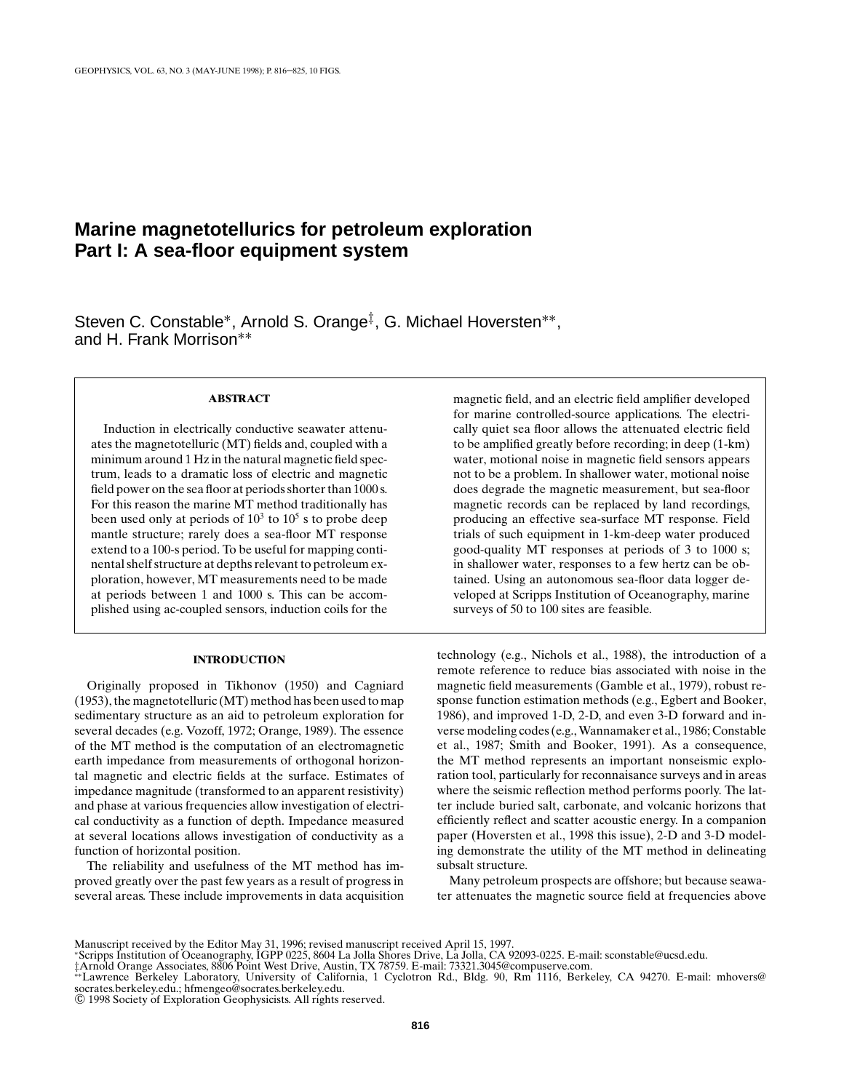# **Marine magnetotellurics for petroleum exploration Part I: A sea-floor equipment system**

Steven C. Constable<sup>∗</sup>, Arnold S. Orange<sup>‡</sup>, G. Michael Hoversten<sup>∗∗</sup>, and H. Frank Morrison∗∗

## **ABSTRACT**

Induction in electrically conductive seawater attenuates the magnetotelluric (MT) fields and, coupled with a minimum around 1 Hz in the natural magnetic field spectrum, leads to a dramatic loss of electric and magnetic field power on the sea floor at periods shorter than 1000 s. For this reason the marine MT method traditionally has been used only at periods of  $10<sup>3</sup>$  to  $10<sup>5</sup>$  s to probe deep mantle structure; rarely does a sea-floor MT response extend to a 100-s period. To be useful for mapping continental shelf structure at depths relevant to petroleum exploration, however, MT measurements need to be made at periods between 1 and 1000 s. This can be accomplished using ac-coupled sensors, induction coils for the

#### **INTRODUCTION**

Originally proposed in Tikhonov (1950) and Cagniard (1953), the magnetotelluric (MT) method has been used to map sedimentary structure as an aid to petroleum exploration for several decades (e.g. Vozoff, 1972; Orange, 1989). The essence of the MT method is the computation of an electromagnetic earth impedance from measurements of orthogonal horizontal magnetic and electric fields at the surface. Estimates of impedance magnitude (transformed to an apparent resistivity) and phase at various frequencies allow investigation of electrical conductivity as a function of depth. Impedance measured at several locations allows investigation of conductivity as a function of horizontal position.

The reliability and usefulness of the MT method has improved greatly over the past few years as a result of progress in several areas. These include improvements in data acquisition magnetic field, and an electric field amplifier developed for marine controlled-source applications. The electrically quiet sea floor allows the attenuated electric field to be amplified greatly before recording; in deep (1-km) water, motional noise in magnetic field sensors appears not to be a problem. In shallower water, motional noise does degrade the magnetic measurement, but sea-floor magnetic records can be replaced by land recordings, producing an effective sea-surface MT response. Field trials of such equipment in 1-km-deep water produced good-quality MT responses at periods of 3 to 1000 s; in shallower water, responses to a few hertz can be obtained. Using an autonomous sea-floor data logger developed at Scripps Institution of Oceanography, marine surveys of 50 to 100 sites are feasible.

technology (e.g., Nichols et al., 1988), the introduction of a remote reference to reduce bias associated with noise in the magnetic field measurements (Gamble et al., 1979), robust response function estimation methods (e.g., Egbert and Booker, 1986), and improved 1-D, 2-D, and even 3-D forward and inverse modeling codes (e.g., Wannamaker et al., 1986; Constable et al., 1987; Smith and Booker, 1991). As a consequence, the MT method represents an important nonseismic exploration tool, particularly for reconnaisance surveys and in areas where the seismic reflection method performs poorly. The latter include buried salt, carbonate, and volcanic horizons that efficiently reflect and scatter acoustic energy. In a companion paper (Hoversten et al., 1998 this issue), 2-D and 3-D modeling demonstrate the utility of the MT method in delineating subsalt structure.

Many petroleum prospects are offshore; but because seawater attenuates the magnetic source field at frequencies above

Manuscript received by the Editor May 31, 1996; revised manuscript received April 15, 1997.<br>\*Scripps Institution of Oceanography, IGPP 0225, 8604 La Jolla Shores Drive, La Jolla, CA 92093-0225. E-mail: sconstable@ucsd.edu

<sup>‡</sup>Arnold Orange Associates, 8806 Point West Drive, Austin, TX 78759. E-mail: 73321.3045@compuserve.com.<br>\*\*Lawrence Berkeley Laboratory, University of California, 1 Cyclotron Rd., Bldg. 90, Rm 1116, Berkeley, CA 94270. E-mai

<sup>°</sup>c 1998 Society of Exploration Geophysicists. All rights reserved.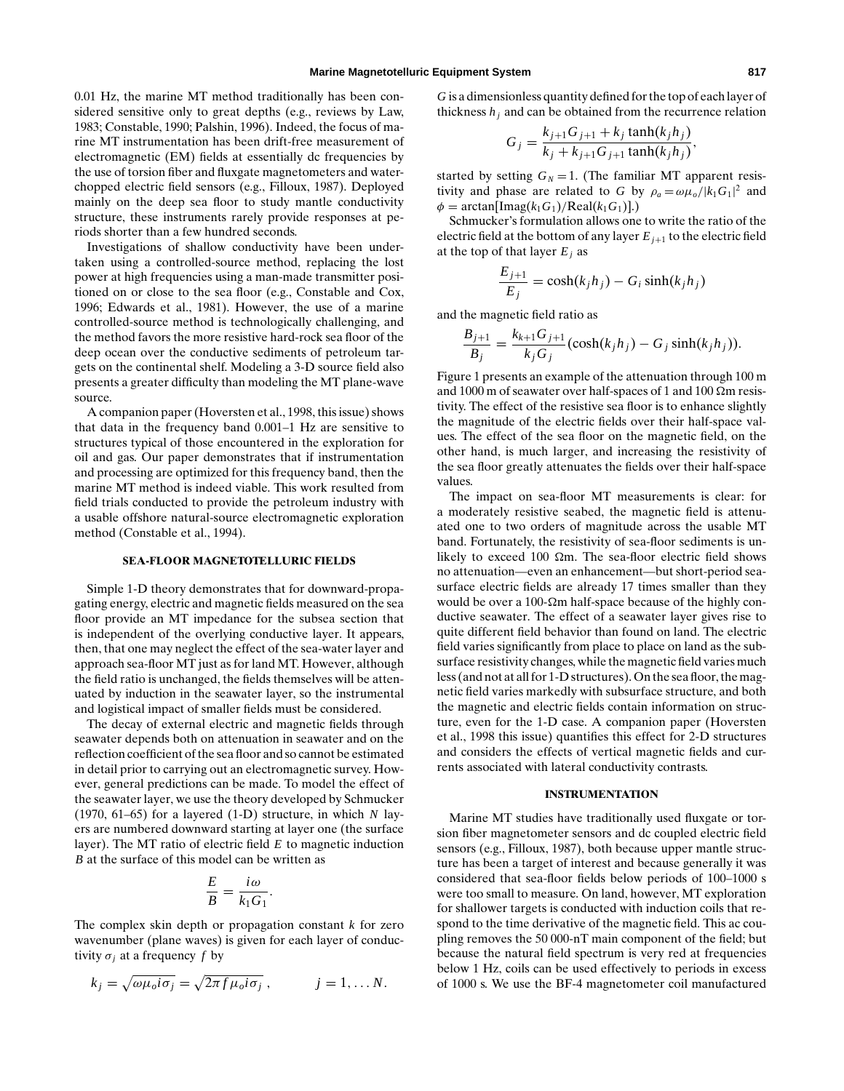0.01 Hz, the marine MT method traditionally has been considered sensitive only to great depths (e.g., reviews by Law, 1983; Constable, 1990; Palshin, 1996). Indeed, the focus of marine MT instrumentation has been drift-free measurement of electromagnetic (EM) fields at essentially dc frequencies by the use of torsion fiber and fluxgate magnetometers and waterchopped electric field sensors (e.g., Filloux, 1987). Deployed mainly on the deep sea floor to study mantle conductivity structure, these instruments rarely provide responses at periods shorter than a few hundred seconds.

Investigations of shallow conductivity have been undertaken using a controlled-source method, replacing the lost power at high frequencies using a man-made transmitter positioned on or close to the sea floor (e.g., Constable and Cox, 1996; Edwards et al., 1981). However, the use of a marine controlled-source method is technologically challenging, and the method favors the more resistive hard-rock sea floor of the deep ocean over the conductive sediments of petroleum targets on the continental shelf. Modeling a 3-D source field also presents a greater difficulty than modeling the MT plane-wave source.

A companion paper (Hoversten et al., 1998, this issue) shows that data in the frequency band 0.001–1 Hz are sensitive to structures typical of those encountered in the exploration for oil and gas. Our paper demonstrates that if instrumentation and processing are optimized for this frequency band, then the marine MT method is indeed viable. This work resulted from field trials conducted to provide the petroleum industry with a usable offshore natural-source electromagnetic exploration method (Constable et al., 1994).

## **SEA-FLOOR MAGNETOTELLURIC FIELDS**

Simple 1-D theory demonstrates that for downward-propagating energy, electric and magnetic fields measured on the sea floor provide an MT impedance for the subsea section that is independent of the overlying conductive layer. It appears, then, that one may neglect the effect of the sea-water layer and approach sea-floor MT just as for land MT. However, although the field ratio is unchanged, the fields themselves will be attenuated by induction in the seawater layer, so the instrumental and logistical impact of smaller fields must be considered.

The decay of external electric and magnetic fields through seawater depends both on attenuation in seawater and on the reflection coefficient of the sea floor and so cannot be estimated in detail prior to carrying out an electromagnetic survey. However, general predictions can be made. To model the effect of the seawater layer, we use the theory developed by Schmucker (1970, 61–65) for a layered (1-D) structure, in which *N* layers are numbered downward starting at layer one (the surface layer). The MT ratio of electric field *E* to magnetic induction *B* at the surface of this model can be written as

$$
\frac{E}{B} = \frac{i\omega}{k_1 G_1}.
$$

The complex skin depth or propagation constant *k* for zero wavenumber (plane waves) is given for each layer of conductivity  $\sigma_i$  at a frequency f by

$$
k_j = \sqrt{\omega \mu_o i \sigma_j} = \sqrt{2\pi f \mu_o i \sigma_j} , \qquad j = 1, \dots N.
$$

*G* is a dimensionless quantity defined for the top of each layer of thickness  $h_i$  and can be obtained from the recurrence relation

$$
G_j = \frac{k_{j+1}G_{j+1} + k_j \tanh(k_j h_j)}{k_j + k_{j+1}G_{j+1} \tanh(k_j h_j)},
$$

started by setting  $G_N = 1$ . (The familiar MT apparent resistivity and phase are related to *G* by  $\rho_a = \omega \mu_o / |k_1 G_1|^2$  and  $\phi = \arctan[\text{Imag}(k_1G_1)/\text{Real}(k_1G_1)].$ 

Schmucker's formulation allows one to write the ratio of the electric field at the bottom of any layer  $E_{i+1}$  to the electric field at the top of that layer  $E_i$  as

$$
\frac{E_{j+1}}{E_j} = \cosh(k_j h_j) - G_i \sinh(k_j h_j)
$$

and the magnetic field ratio as

$$
\frac{B_{j+1}}{B_j} = \frac{k_{k+1}G_{j+1}}{k_jG_j}(\cosh(k_jh_j) - G_j\sinh(k_jh_j)).
$$

Figure 1 presents an example of the attenuation through 100 m and 1000 m of seawater over half-spaces of 1 and 100  $\Omega$ m resistivity. The effect of the resistive sea floor is to enhance slightly the magnitude of the electric fields over their half-space values. The effect of the sea floor on the magnetic field, on the other hand, is much larger, and increasing the resistivity of the sea floor greatly attenuates the fields over their half-space values.

The impact on sea-floor MT measurements is clear: for a moderately resistive seabed, the magnetic field is attenuated one to two orders of magnitude across the usable MT band. Fortunately, the resistivity of sea-floor sediments is unlikely to exceed 100  $\Omega$ m. The sea-floor electric field shows no attenuation—even an enhancement—but short-period seasurface electric fields are already 17 times smaller than they would be over a 100- $\Omega$ m half-space because of the highly conductive seawater. The effect of a seawater layer gives rise to quite different field behavior than found on land. The electric field varies significantly from place to place on land as the subsurface resistivity changes, while the magnetic field varies much less (and not at all for 1-D structures). On the sea floor, the magnetic field varies markedly with subsurface structure, and both the magnetic and electric fields contain information on structure, even for the 1-D case. A companion paper (Hoversten et al., 1998 this issue) quantifies this effect for 2-D structures and considers the effects of vertical magnetic fields and currents associated with lateral conductivity contrasts.

#### **INSTRUMENTATION**

Marine MT studies have traditionally used fluxgate or torsion fiber magnetometer sensors and dc coupled electric field sensors (e.g., Filloux, 1987), both because upper mantle structure has been a target of interest and because generally it was considered that sea-floor fields below periods of 100–1000 s were too small to measure. On land, however, MT exploration for shallower targets is conducted with induction coils that respond to the time derivative of the magnetic field. This ac coupling removes the 50 000-nT main component of the field; but because the natural field spectrum is very red at frequencies below 1 Hz, coils can be used effectively to periods in excess of 1000 s. We use the BF-4 magnetometer coil manufactured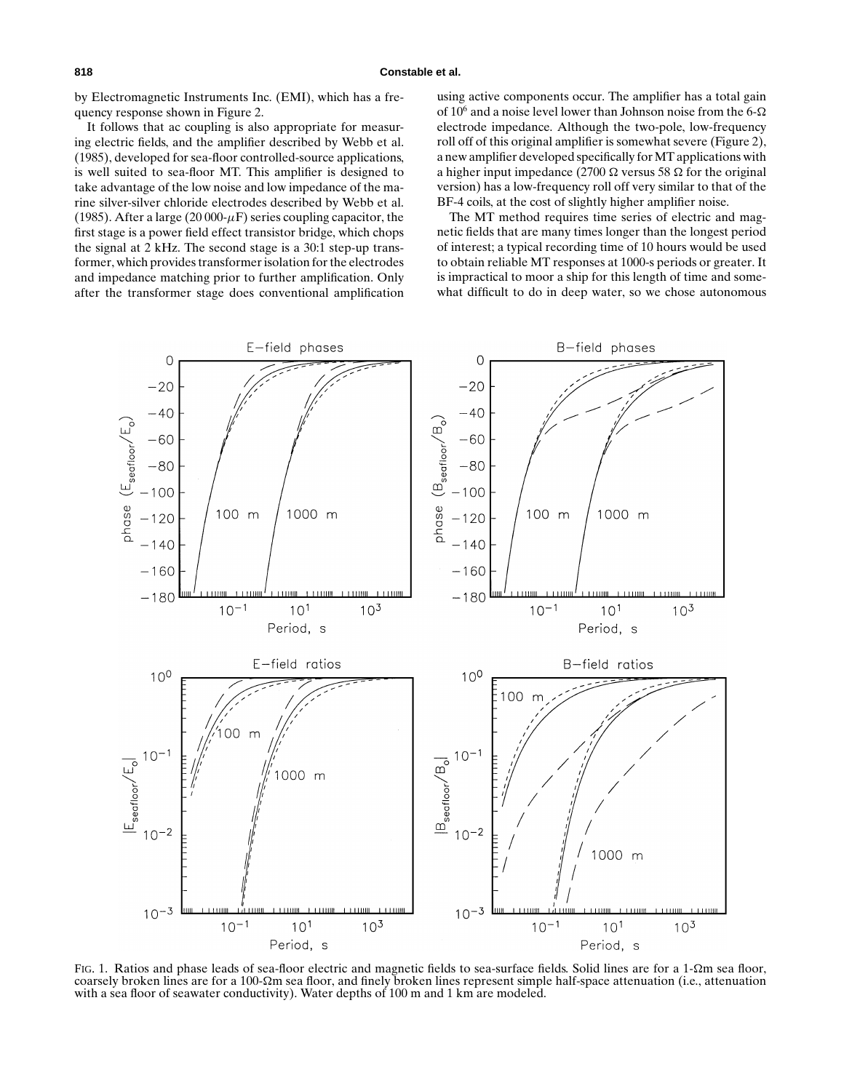**818 Constable et al.**

by Electromagnetic Instruments Inc. (EMI), which has a frequency response shown in Figure 2.

It follows that ac coupling is also appropriate for measuring electric fields, and the amplifier described by Webb et al. (1985), developed for sea-floor controlled-source applications, is well suited to sea-floor MT. This amplifier is designed to take advantage of the low noise and low impedance of the marine silver-silver chloride electrodes described by Webb et al. (1985). After a large (20 000- $\mu$ F) series coupling capacitor, the first stage is a power field effect transistor bridge, which chops the signal at 2 kHz. The second stage is a 30:1 step-up transformer, which provides transformer isolation for the electrodes and impedance matching prior to further amplification. Only after the transformer stage does conventional amplification using active components occur. The amplifier has a total gain of  $10^6$  and a noise level lower than Johnson noise from the 6- $\Omega$ electrode impedance. Although the two-pole, low-frequency roll off of this original amplifier is somewhat severe (Figure 2), a new amplifier developed specifically for MT applications with a higher input impedance (2700  $\Omega$  versus 58  $\Omega$  for the original version) has a low-frequency roll off very similar to that of the BF-4 coils, at the cost of slightly higher amplifier noise.

The MT method requires time series of electric and magnetic fields that are many times longer than the longest period of interest; a typical recording time of 10 hours would be used to obtain reliable MT responses at 1000-s periods or greater. It is impractical to moor a ship for this length of time and somewhat difficult to do in deep water, so we chose autonomous



FIG. 1. Ratios and phase leads of sea-floor electric and magnetic fields to sea-surface fields. Solid lines are for a 1- $\Omega$ m sea floor, coarsely broken lines are for a 100- $\Omega$ m sea floor, and finely broken lines represent simple half-space attenuation (i.e., attenuation with a sea floor of seawater conductivity). Water depths of 100 m and 1 km are modeled.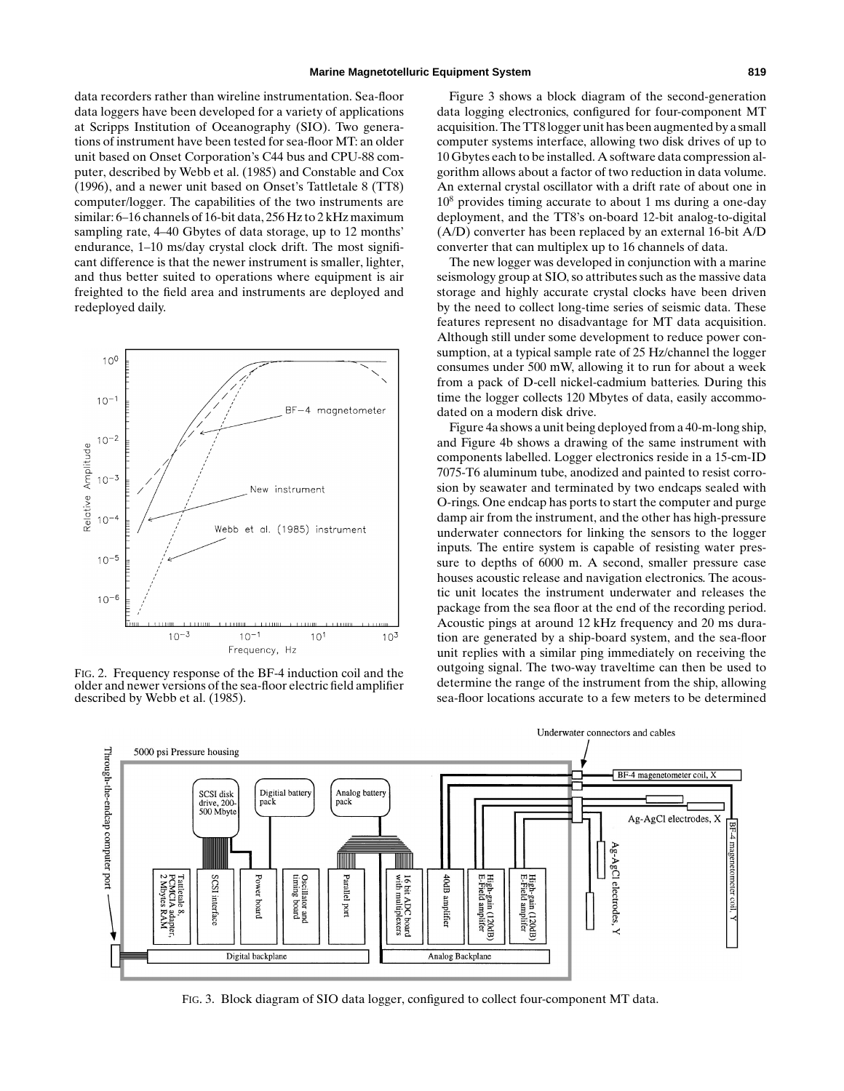data recorders rather than wireline instrumentation. Sea-floor data loggers have been developed for a variety of applications at Scripps Institution of Oceanography (SIO). Two generations of instrument have been tested for sea-floor MT: an older unit based on Onset Corporation's C44 bus and CPU-88 computer, described by Webb et al. (1985) and Constable and Cox (1996), and a newer unit based on Onset's Tattletale 8 (TT8) computer/logger. The capabilities of the two instruments are similar: 6–16 channels of 16-bit data, 256 Hz to 2 kHz maximum sampling rate, 4–40 Gbytes of data storage, up to 12 months' endurance, 1–10 ms/day crystal clock drift. The most significant difference is that the newer instrument is smaller, lighter, and thus better suited to operations where equipment is air freighted to the field area and instruments are deployed and redeployed daily.



FIG. 2. Frequency response of the BF-4 induction coil and the older and newer versions of the sea-floor electric field amplifier described by Webb et al. (1985).

Figure 3 shows a block diagram of the second-generation data logging electronics, configured for four-component MT acquisition. The TT8 logger unit has been augmented by a small computer systems interface, allowing two disk drives of up to 10 Gbytes each to be installed. A software data compression algorithm allows about a factor of two reduction in data volume. An external crystal oscillator with a drift rate of about one in 10<sup>8</sup> provides timing accurate to about 1 ms during a one-day deployment, and the TT8's on-board 12-bit analog-to-digital (A/D) converter has been replaced by an external 16-bit A/D converter that can multiplex up to 16 channels of data.

The new logger was developed in conjunction with a marine seismology group at SIO, so attributes such as the massive data storage and highly accurate crystal clocks have been driven by the need to collect long-time series of seismic data. These features represent no disadvantage for MT data acquisition. Although still under some development to reduce power consumption, at a typical sample rate of 25 Hz/channel the logger consumes under 500 mW, allowing it to run for about a week from a pack of D-cell nickel-cadmium batteries. During this time the logger collects 120 Mbytes of data, easily accommodated on a modern disk drive.

Figure 4a shows a unit being deployed from a 40-m-long ship, and Figure 4b shows a drawing of the same instrument with components labelled. Logger electronics reside in a 15-cm-ID 7075-T6 aluminum tube, anodized and painted to resist corrosion by seawater and terminated by two endcaps sealed with O-rings. One endcap has ports to start the computer and purge damp air from the instrument, and the other has high-pressure underwater connectors for linking the sensors to the logger inputs. The entire system is capable of resisting water pressure to depths of 6000 m. A second, smaller pressure case houses acoustic release and navigation electronics. The acoustic unit locates the instrument underwater and releases the package from the sea floor at the end of the recording period. Acoustic pings at around 12 kHz frequency and 20 ms duration are generated by a ship-board system, and the sea-floor unit replies with a similar ping immediately on receiving the outgoing signal. The two-way traveltime can then be used to determine the range of the instrument from the ship, allowing sea-floor locations accurate to a few meters to be determined



FIG. 3. Block diagram of SIO data logger, configured to collect four-component MT data.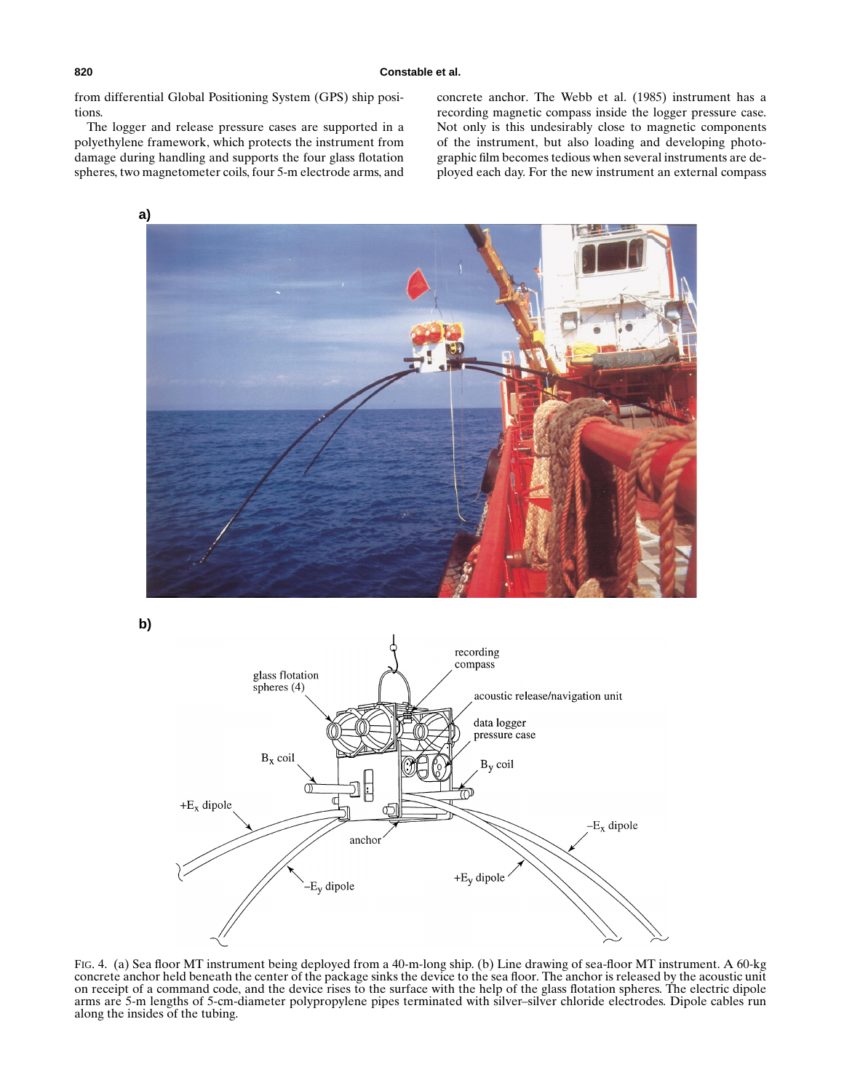from differential Global Positioning System (GPS) ship positions.

The logger and release pressure cases are supported in a polyethylene framework, which protects the instrument from damage during handling and supports the four glass flotation spheres, two magnetometer coils, four 5-m electrode arms, and concrete anchor. The Webb et al. (1985) instrument has a recording magnetic compass inside the logger pressure case. Not only is this undesirably close to magnetic components of the instrument, but also loading and developing photographic film becomes tedious when several instruments are deployed each day. For the new instrument an external compass



**b)**



FIG. 4. (a) Sea floor MT instrument being deployed from a 40-m-long ship. (b) Line drawing of sea-floor MT instrument. A 60-kg concrete anchor held beneath the center of the package sinks the device to the sea floor. The anchor is released by the acoustic unit on receipt of a command code, and the device rises to the surface with the help of the glass flotation spheres. The electric dipole arms are 5-m lengths of 5-cm-diameter polypropylene pipes terminated with silver–silver chloride electrodes. Dipole cables run along the insides of the tubing.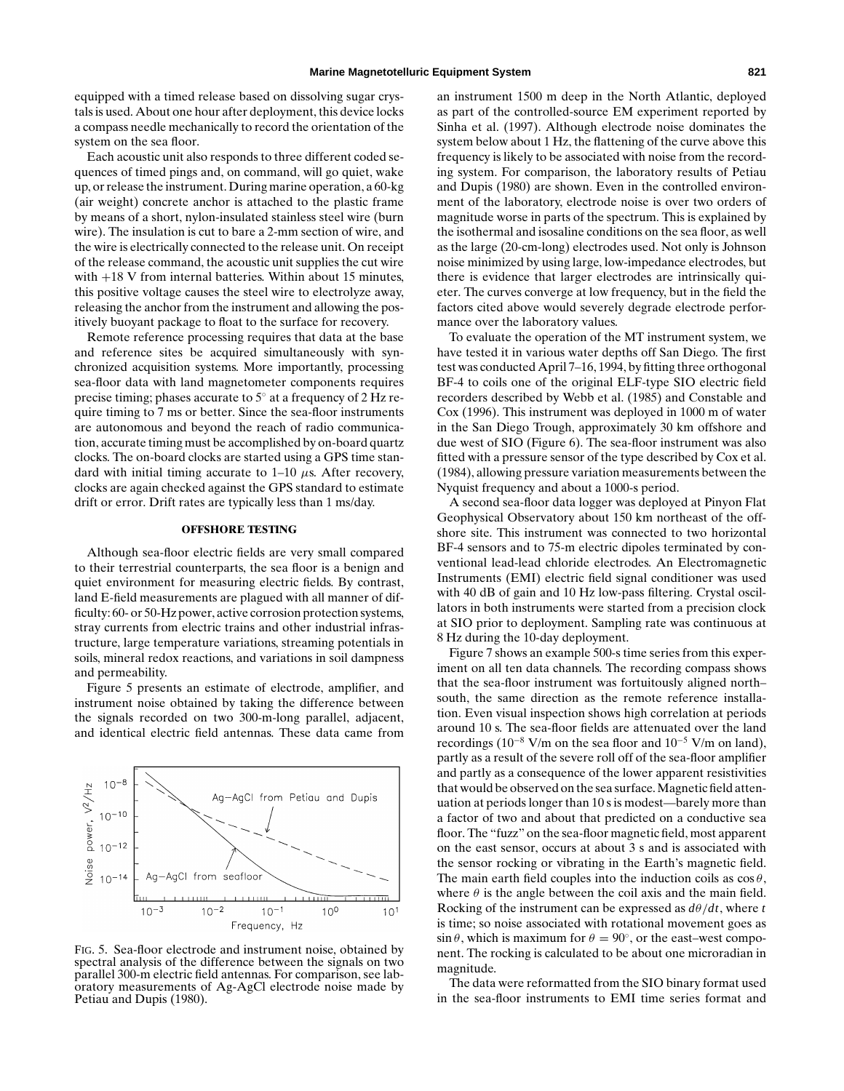equipped with a timed release based on dissolving sugar crystals is used. About one hour after deployment, this device locks a compass needle mechanically to record the orientation of the system on the sea floor.

Each acoustic unit also responds to three different coded sequences of timed pings and, on command, will go quiet, wake up, or release the instrument. During marine operation, a 60-kg (air weight) concrete anchor is attached to the plastic frame by means of a short, nylon-insulated stainless steel wire (burn wire). The insulation is cut to bare a 2-mm section of wire, and the wire is electrically connected to the release unit. On receipt of the release command, the acoustic unit supplies the cut wire with +18 V from internal batteries. Within about 15 minutes, this positive voltage causes the steel wire to electrolyze away, releasing the anchor from the instrument and allowing the positively buoyant package to float to the surface for recovery.

Remote reference processing requires that data at the base and reference sites be acquired simultaneously with synchronized acquisition systems. More importantly, processing sea-floor data with land magnetometer components requires precise timing; phases accurate to 5◦ at a frequency of 2 Hz require timing to 7 ms or better. Since the sea-floor instruments are autonomous and beyond the reach of radio communication, accurate timing must be accomplished by on-board quartz clocks. The on-board clocks are started using a GPS time standard with initial timing accurate to  $1-10 \mu s$ . After recovery, clocks are again checked against the GPS standard to estimate drift or error. Drift rates are typically less than 1 ms/day.

## **OFFSHORE TESTING**

Although sea-floor electric fields are very small compared to their terrestrial counterparts, the sea floor is a benign and quiet environment for measuring electric fields. By contrast, land E-field measurements are plagued with all manner of difficulty: 60- or 50-Hz power, active corrosion protection systems, stray currents from electric trains and other industrial infrastructure, large temperature variations, streaming potentials in soils, mineral redox reactions, and variations in soil dampness and permeability.

Figure 5 presents an estimate of electrode, amplifier, and instrument noise obtained by taking the difference between the signals recorded on two 300-m-long parallel, adjacent, and identical electric field antennas. These data came from



FIG. 5. Sea-floor electrode and instrument noise, obtained by spectral analysis of the difference between the signals on two parallel 300-m electric field antennas. For comparison, see laboratory measurements of Ag-AgCl electrode noise made by Petiau and Dupis (1980).

an instrument 1500 m deep in the North Atlantic, deployed as part of the controlled-source EM experiment reported by Sinha et al. (1997). Although electrode noise dominates the system below about 1 Hz, the flattening of the curve above this frequency is likely to be associated with noise from the recording system. For comparison, the laboratory results of Petiau and Dupis (1980) are shown. Even in the controlled environment of the laboratory, electrode noise is over two orders of magnitude worse in parts of the spectrum. This is explained by the isothermal and isosaline conditions on the sea floor, as well as the large (20-cm-long) electrodes used. Not only is Johnson noise minimized by using large, low-impedance electrodes, but there is evidence that larger electrodes are intrinsically quieter. The curves converge at low frequency, but in the field the factors cited above would severely degrade electrode performance over the laboratory values.

To evaluate the operation of the MT instrument system, we have tested it in various water depths off San Diego. The first test was conducted April 7–16, 1994, by fitting three orthogonal BF-4 to coils one of the original ELF-type SIO electric field recorders described by Webb et al. (1985) and Constable and Cox (1996). This instrument was deployed in 1000 m of water in the San Diego Trough, approximately 30 km offshore and due west of SIO (Figure 6). The sea-floor instrument was also fitted with a pressure sensor of the type described by Cox et al. (1984), allowing pressure variation measurements between the Nyquist frequency and about a 1000-s period.

A second sea-floor data logger was deployed at Pinyon Flat Geophysical Observatory about 150 km northeast of the offshore site. This instrument was connected to two horizontal BF-4 sensors and to 75-m electric dipoles terminated by conventional lead-lead chloride electrodes. An Electromagnetic Instruments (EMI) electric field signal conditioner was used with 40 dB of gain and 10 Hz low-pass filtering. Crystal oscillators in both instruments were started from a precision clock at SIO prior to deployment. Sampling rate was continuous at 8 Hz during the 10-day deployment.

Figure 7 shows an example 500-s time series from this experiment on all ten data channels. The recording compass shows that the sea-floor instrument was fortuitously aligned north– south, the same direction as the remote reference installation. Even visual inspection shows high correlation at periods around 10 s. The sea-floor fields are attenuated over the land recordings (10<sup>−</sup><sup>8</sup> V/m on the sea floor and 10<sup>−</sup><sup>5</sup> V/m on land), partly as a result of the severe roll off of the sea-floor amplifier and partly as a consequence of the lower apparent resistivities that would be observed on the sea surface. Magnetic field attenuation at periods longer than 10 s is modest—barely more than a factor of two and about that predicted on a conductive sea floor. The "fuzz" on the sea-floor magnetic field, most apparent on the east sensor, occurs at about 3 s and is associated with the sensor rocking or vibrating in the Earth's magnetic field. The main earth field couples into the induction coils as  $\cos \theta$ , where  $\theta$  is the angle between the coil axis and the main field. Rocking of the instrument can be expressed as  $d\theta/dt$ , where *t* is time; so noise associated with rotational movement goes as  $\sin \theta$ , which is maximum for  $\theta = 90^\circ$ , or the east–west component. The rocking is calculated to be about one microradian in magnitude.

The data were reformatted from the SIO binary format used in the sea-floor instruments to EMI time series format and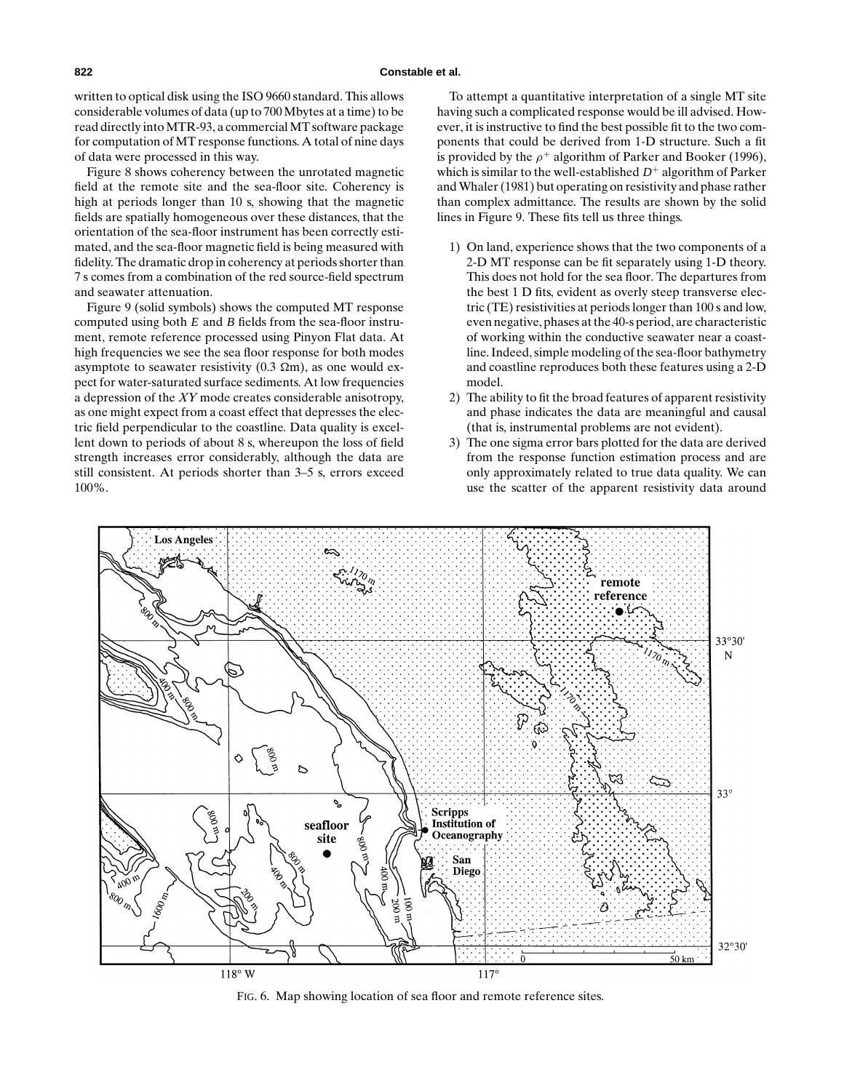#### **822 Constable et al.**

written to optical disk using the ISO 9660 standard. This allows considerable volumes of data (up to 700 Mbytes at a time) to be read directly into MTR-93, a commercial MT software package for computation of MT response functions. A total of nine days of data were processed in this way.

Figure 8 shows coherency between the unrotated magnetic field at the remote site and the sea-floor site. Coherency is high at periods longer than 10 s, showing that the magnetic fields are spatially homogeneous over these distances, that the orientation of the sea-floor instrument has been correctly estimated, and the sea-floor magnetic field is being measured with fidelity. The dramatic drop in coherency at periods shorter than 7 s comes from a combination of the red source-field spectrum and seawater attenuation.

Figure 9 (solid symbols) shows the computed MT response computed using both *E* and *B* fields from the sea-floor instrument, remote reference processed using Pinyon Flat data. At high frequencies we see the sea floor response for both modes asymptote to seawater resistivity (0.3  $\Omega$ m), as one would expect for water-saturated surface sediments. At low frequencies a depression of the *XY* mode creates considerable anisotropy, as one might expect from a coast effect that depresses the electric field perpendicular to the coastline. Data quality is excellent down to periods of about 8 s, whereupon the loss of field strength increases error considerably, although the data are still consistent. At periods shorter than 3–5 s, errors exceed 100%.

To attempt a quantitative interpretation of a single MT site having such a complicated response would be ill advised. However, it is instructive to find the best possible fit to the two components that could be derived from 1-D structure. Such a fit is provided by the  $\rho^+$  algorithm of Parker and Booker (1996), which is similar to the well-established  $D^+$  algorithm of Parker and Whaler (1981) but operating on resistivity and phase rather than complex admittance. The results are shown by the solid lines in Figure 9. These fits tell us three things.

- 1) On land, experience shows that the two components of a 2-D MT response can be fit separately using 1-D theory. This does not hold for the sea floor. The departures from the best 1 D fits, evident as overly steep transverse electric (TE) resistivities at periods longer than 100 s and low, even negative, phases at the 40-s period, are characteristic of working within the conductive seawater near a coastline. Indeed, simple modeling of the sea-floor bathymetry and coastline reproduces both these features using a 2-D model.
- 2) The ability to fit the broad features of apparent resistivity and phase indicates the data are meaningful and causal (that is, instrumental problems are not evident).
- 3) The one sigma error bars plotted for the data are derived from the response function estimation process and are only approximately related to true data quality. We can use the scatter of the apparent resistivity data around



FIG. 6. Map showing location of sea floor and remote reference sites.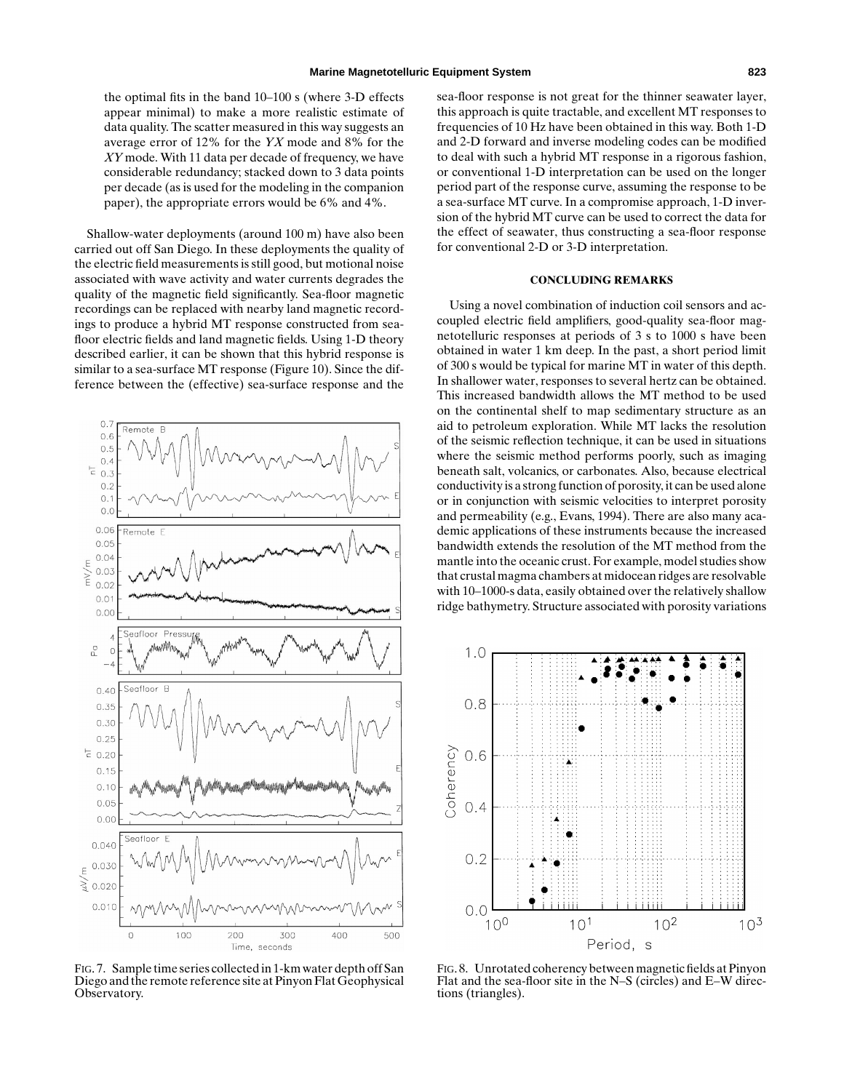the optimal fits in the band 10–100 s (where 3-D effects appear minimal) to make a more realistic estimate of data quality. The scatter measured in this way suggests an average error of 12% for the *YX* mode and 8% for the *XY* mode. With 11 data per decade of frequency, we have considerable redundancy; stacked down to 3 data points per decade (as is used for the modeling in the companion paper), the appropriate errors would be 6% and 4%.

Shallow-water deployments (around 100 m) have also been carried out off San Diego. In these deployments the quality of the electric field measurements is still good, but motional noise associated with wave activity and water currents degrades the quality of the magnetic field significantly. Sea-floor magnetic recordings can be replaced with nearby land magnetic recordings to produce a hybrid MT response constructed from seafloor electric fields and land magnetic fields. Using 1-D theory described earlier, it can be shown that this hybrid response is similar to a sea-surface MT response (Figure 10). Since the difference between the (effective) sea-surface response and the



FIG. 7. Sample time series collected in 1-km water depth off San Diego and the remote reference site at Pinyon Flat Geophysical Observatory.

sea-floor response is not great for the thinner seawater layer, this approach is quite tractable, and excellent MT responses to frequencies of 10 Hz have been obtained in this way. Both 1-D and 2-D forward and inverse modeling codes can be modified to deal with such a hybrid MT response in a rigorous fashion, or conventional 1-D interpretation can be used on the longer period part of the response curve, assuming the response to be a sea-surface MT curve. In a compromise approach, 1-D inversion of the hybrid MT curve can be used to correct the data for the effect of seawater, thus constructing a sea-floor response for conventional 2-D or 3-D interpretation.

## **CONCLUDING REMARKS**

Using a novel combination of induction coil sensors and accoupled electric field amplifiers, good-quality sea-floor magnetotelluric responses at periods of 3 s to 1000 s have been obtained in water 1 km deep. In the past, a short period limit of 300 s would be typical for marine MT in water of this depth. In shallower water, responses to several hertz can be obtained. This increased bandwidth allows the MT method to be used on the continental shelf to map sedimentary structure as an aid to petroleum exploration. While MT lacks the resolution of the seismic reflection technique, it can be used in situations where the seismic method performs poorly, such as imaging beneath salt, volcanics, or carbonates. Also, because electrical conductivity is a strong function of porosity, it can be used alone or in conjunction with seismic velocities to interpret porosity and permeability (e.g., Evans, 1994). There are also many academic applications of these instruments because the increased bandwidth extends the resolution of the MT method from the mantle into the oceanic crust. For example, model studies show that crustal magma chambers at midocean ridges are resolvable with 10–1000-s data, easily obtained over the relatively shallow ridge bathymetry. Structure associated with porosity variations



FIG. 8. Unrotated coherency between magnetic fields at Pinyon Flat and the sea-floor site in the N–S (circles) and E–W directions (triangles).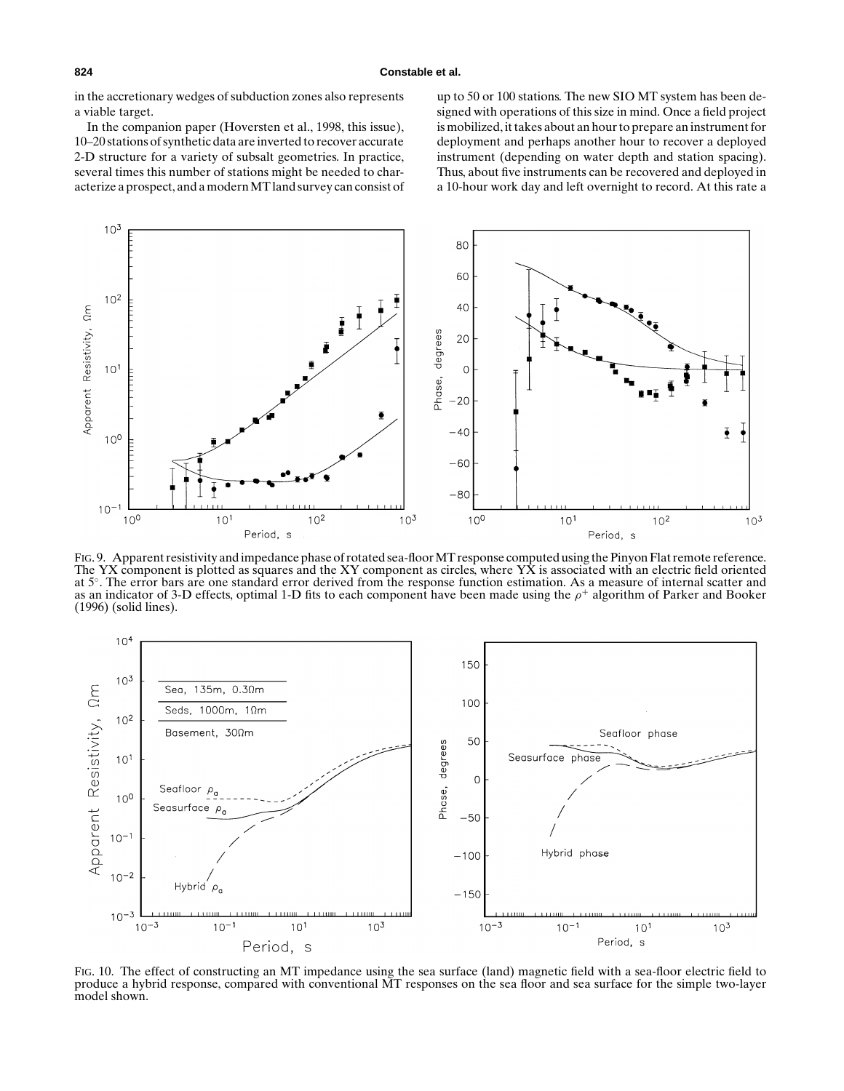in the accretionary wedges of subduction zones also represents a viable target.

In the companion paper (Hoversten et al., 1998, this issue), 10–20 stations of synthetic data are inverted to recover accurate 2-D structure for a variety of subsalt geometries. In practice, several times this number of stations might be needed to characterize a prospect, and a modern MT land survey can consist of up to 50 or 100 stations. The new SIO MT system has been designed with operations of this size in mind. Once a field project is mobilized, it takes about an hour to prepare an instrument for deployment and perhaps another hour to recover a deployed instrument (depending on water depth and station spacing). Thus, about five instruments can be recovered and deployed in a 10-hour work day and left overnight to record. At this rate a



FIG. 9. Apparent resistivity and impedance phase of rotated sea-floor MT response computed using the Pinyon Flat remote reference. The YX component is plotted as squares and the XY component as circles, where  $Y\hat{X}$  is associated with an electric field oriented at 5◦. The error bars are one standard error derived from the response function estimation. As a measure of internal scatter and as an indicator of 3-D effects, optimal 1-D fits to each component have been made using the  $\rho^+$  algorithm of Parker and Booker (1996) (solid lines).



FIG. 10. The effect of constructing an MT impedance using the sea surface (land) magnetic field with a sea-floor electric field to produce a hybrid response, compared with conventional MT responses on the sea floor and sea surface for the simple two-layer model shown.